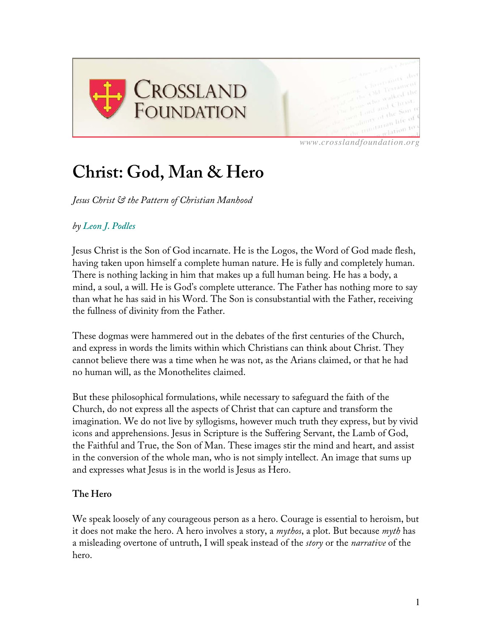

*www.crosslandfoundation.org*

# **Christ: God, Man & Hero**

*Jesus Christ & the Pattern of Christian Manhood*

# *by Leon J. Podles*

Jesus Christ is the Son of God incarnate. He is the Logos, the Word of God made flesh, having taken upon himself a complete human nature. He is fully and completely human. There is nothing lacking in him that makes up a full human being. He has a body, a mind, a soul, a will. He is God's complete utterance. The Father has nothing more to say than what he has said in his Word. The Son is consubstantial with the Father, receiving the fullness of divinity from the Father.

These dogmas were hammered out in the debates of the first centuries of the Church, and express in words the limits within which Christians can think about Christ. They cannot believe there was a time when he was not, as the Arians claimed, or that he had no human will, as the Monothelites claimed.

But these philosophical formulations, while necessary to safeguard the faith of the Church, do not express all the aspects of Christ that can capture and transform the imagination. We do not live by syllogisms, however much truth they express, but by vivid icons and apprehensions. Jesus in Scripture is the Suffering Servant, the Lamb of God, the Faithful and True, the Son of Man. These images stir the mind and heart, and assist in the conversion of the whole man, who is not simply intellect. An image that sums up and expresses what Jesus is in the world is Jesus as Hero.

## **The Hero**

We speak loosely of any courageous person as a hero. Courage is essential to heroism, but it does not make the hero. A hero involves a story, a *mythos*, a plot. But because *myth* has a misleading overtone of untruth, I will speak instead of the *story* or the *narrative* of the hero.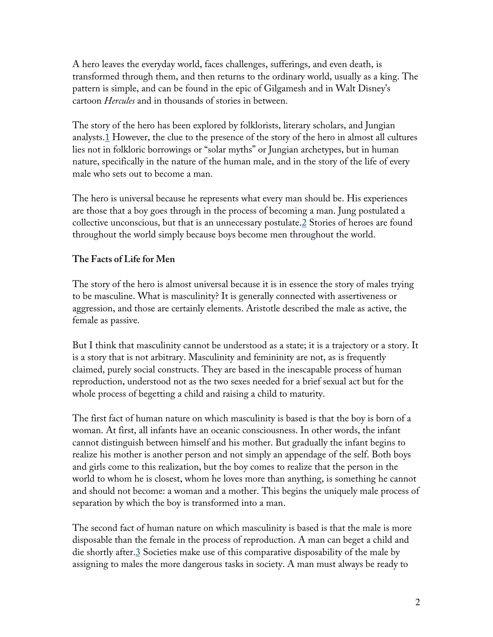A hero leaves the everyday world, faces challenges, sufferings, and even death, is transformed through them, and then returns to the ordinary world, usually as a king. The pattern is simple, and can be found in the epic of Gilgamesh and in Walt Disney's cartoon *Hercules* and in thousands of stories in between.

The story of the hero has been explored by folklorists, literary scholars, and Jungian analysts.<sup>1</sup> However, the clue to the presence of the story of the hero in almost all cultures lies not in folkloric borrowings or "solar myths" or Jungian archetypes, but in human nature, specifically in the nature of the human male, and in the story of the life of every male who sets out to become a man.

The hero is universal because he represents what every man should be. His experiences are those that a boy goes through in the process of becoming a man. Jung postulated a collective unconscious, but that is an unnecessary postulate.2 Stories of heroes are found throughout the world simply because boys become men throughout the world.

# **The Facts of Life for Men**

The story of the hero is almost universal because it is in essence the story of males trying to be masculine. What is masculinity? It is generally connected with assertiveness or aggression, and those are certainly elements. Aristotle described the male as active, the female as passive.

But I think that masculinity cannot be understood as a state; it is a trajectory or a story. It is a story that is not arbitrary. Masculinity and femininity are not, as is frequently claimed, purely social constructs. They are based in the inescapable process of human reproduction, understood not as the two sexes needed for a brief sexual act but for the whole process of begetting a child and raising a child to maturity.

The first fact of human nature on which masculinity is based is that the boy is born of a woman. At first, all infants have an oceanic consciousness. In other words, the infant cannot distinguish between himself and his mother. But gradually the infant begins to realize his mother is another person and not simply an appendage of the self. Both boys and girls come to this realization, but the boy comes to realize that the person in the world to whom he is closest, whom he loves more than anything, is something he cannot and should not become: a woman and a mother. This begins the uniquely male process of separation by which the boy is transformed into a man.

The second fact of human nature on which masculinity is based is that the male is more disposable than the female in the process of reproduction. A man can beget a child and die shortly after.3 Societies make use of this comparative disposability of the male by assigning to males the more dangerous tasks in society. A man must always be ready to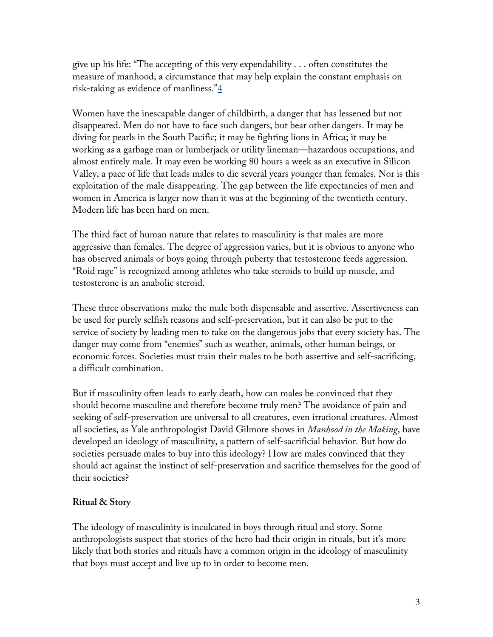give up his life: "The accepting of this very expendability . . . often constitutes the measure of manhood, a circumstance that may help explain the constant emphasis on risk-taking as evidence of manliness."4

Women have the inescapable danger of childbirth, a danger that has lessened but not disappeared. Men do not have to face such dangers, but bear other dangers. It may be diving for pearls in the South Pacific; it may be fighting lions in Africa; it may be working as a garbage man or lumberjack or utility lineman—hazardous occupations, and almost entirely male. It may even be working 80 hours a week as an executive in Silicon Valley, a pace of life that leads males to die several years younger than females. Nor is this exploitation of the male disappearing. The gap between the life expectancies of men and women in America is larger now than it was at the beginning of the twentieth century. Modern life has been hard on men.

The third fact of human nature that relates to masculinity is that males are more aggressive than females. The degree of aggression varies, but it is obvious to anyone who has observed animals or boys going through puberty that testosterone feeds aggression. "Roid rage" is recognized among athletes who take steroids to build up muscle, and testosterone is an anabolic steroid.

These three observations make the male both dispensable and assertive. Assertiveness can be used for purely selfish reasons and self-preservation, but it can also be put to the service of society by leading men to take on the dangerous jobs that every society has. The danger may come from "enemies" such as weather, animals, other human beings, or economic forces. Societies must train their males to be both assertive and self-sacrificing, a difficult combination.

But if masculinity often leads to early death, how can males be convinced that they should become masculine and therefore become truly men? The avoidance of pain and seeking of self-preservation are universal to all creatures, even irrational creatures. Almost all societies, as Yale anthropologist David Gilmore shows in *Manhood in the Making*, have developed an ideology of masculinity, a pattern of self-sacrificial behavior. But how do societies persuade males to buy into this ideology? How are males convinced that they should act against the instinct of self-preservation and sacrifice themselves for the good of their societies?

## **Ritual & Story**

The ideology of masculinity is inculcated in boys through ritual and story. Some anthropologists suspect that stories of the hero had their origin in rituals, but it's more likely that both stories and rituals have a common origin in the ideology of masculinity that boys must accept and live up to in order to become men.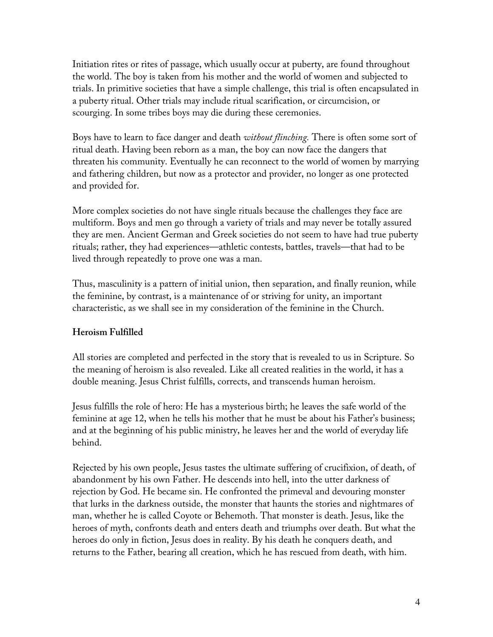Initiation rites or rites of passage, which usually occur at puberty, are found throughout the world. The boy is taken from his mother and the world of women and subjected to trials. In primitive societies that have a simple challenge, this trial is often encapsulated in a puberty ritual. Other trials may include ritual scarification, or circumcision, or scourging. In some tribes boys may die during these ceremonies.

Boys have to learn to face danger and death *without flinching.* There is often some sort of ritual death. Having been reborn as a man, the boy can now face the dangers that threaten his community. Eventually he can reconnect to the world of women by marrying and fathering children, but now as a protector and provider, no longer as one protected and provided for.

More complex societies do not have single rituals because the challenges they face are multiform. Boys and men go through a variety of trials and may never be totally assured they are men. Ancient German and Greek societies do not seem to have had true puberty rituals; rather, they had experiences—athletic contests, battles, travels—that had to be lived through repeatedly to prove one was a man.

Thus, masculinity is a pattern of initial union, then separation, and finally reunion, while the feminine, by contrast, is a maintenance of or striving for unity, an important characteristic, as we shall see in my consideration of the feminine in the Church.

## **Heroism Fulfilled**

All stories are completed and perfected in the story that is revealed to us in Scripture. So the meaning of heroism is also revealed. Like all created realities in the world, it has a double meaning. Jesus Christ fulfills, corrects, and transcends human heroism.

Jesus fulfills the role of hero: He has a mysterious birth; he leaves the safe world of the feminine at age 12, when he tells his mother that he must be about his Father's business; and at the beginning of his public ministry, he leaves her and the world of everyday life behind.

Rejected by his own people, Jesus tastes the ultimate suffering of crucifixion, of death, of abandonment by his own Father. He descends into hell, into the utter darkness of rejection by God. He became sin. He confronted the primeval and devouring monster that lurks in the darkness outside, the monster that haunts the stories and nightmares of man, whether he is called Coyote or Behemoth. That monster is death. Jesus, like the heroes of myth, confronts death and enters death and triumphs over death. But what the heroes do only in fiction, Jesus does in reality. By his death he conquers death, and returns to the Father, bearing all creation, which he has rescued from death, with him.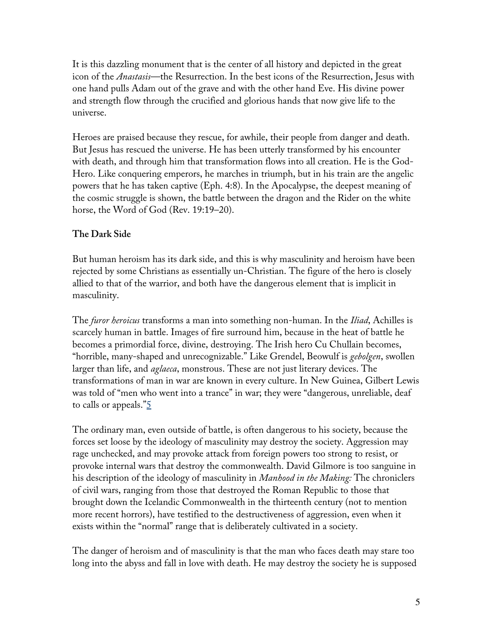It is this dazzling monument that is the center of all history and depicted in the great icon of the *Anastasis*—the Resurrection. In the best icons of the Resurrection, Jesus with one hand pulls Adam out of the grave and with the other hand Eve. His divine power and strength flow through the crucified and glorious hands that now give life to the universe.

Heroes are praised because they rescue, for awhile, their people from danger and death. But Jesus has rescued the universe. He has been utterly transformed by his encounter with death, and through him that transformation flows into all creation. He is the God-Hero. Like conquering emperors, he marches in triumph, but in his train are the angelic powers that he has taken captive (Eph. 4:8). In the Apocalypse, the deepest meaning of the cosmic struggle is shown, the battle between the dragon and the Rider on the white horse, the Word of God (Rev. 19:19–20).

## **The Dark Side**

But human heroism has its dark side, and this is why masculinity and heroism have been rejected by some Christians as essentially un-Christian. The figure of the hero is closely allied to that of the warrior, and both have the dangerous element that is implicit in masculinity.

The *furor heroicus* transforms a man into something non-human. In the *Iliad*, Achilles is scarcely human in battle. Images of fire surround him, because in the heat of battle he becomes a primordial force, divine, destroying. The Irish hero Cu Chullain becomes, "horrible, many-shaped and unrecognizable." Like Grendel, Beowulf is *gebolgen*, swollen larger than life, and *aglaeca*, monstrous. These are not just literary devices. The transformations of man in war are known in every culture. In New Guinea, Gilbert Lewis was told of "men who went into a trance" in war; they were "dangerous, unreliable, deaf to calls or appeals."<sup>5</sup>

The ordinary man, even outside of battle, is often dangerous to his society, because the forces set loose by the ideology of masculinity may destroy the society. Aggression may rage unchecked, and may provoke attack from foreign powers too strong to resist, or provoke internal wars that destroy the commonwealth. David Gilmore is too sanguine in his description of the ideology of masculinity in *Manhood in the Making:* The chroniclers of civil wars, ranging from those that destroyed the Roman Republic to those that brought down the Icelandic Commonwealth in the thirteenth century (not to mention more recent horrors), have testified to the destructiveness of aggression, even when it exists within the "normal" range that is deliberately cultivated in a society.

The danger of heroism and of masculinity is that the man who faces death may stare too long into the abyss and fall in love with death. He may destroy the society he is supposed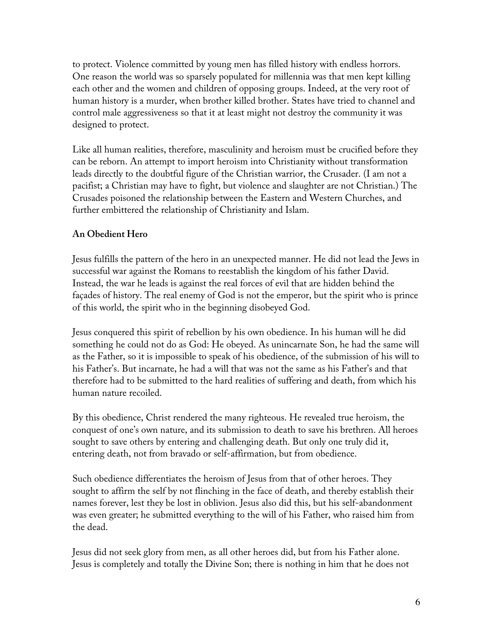to protect. Violence committed by young men has filled history with endless horrors. One reason the world was so sparsely populated for millennia was that men kept killing each other and the women and children of opposing groups. Indeed, at the very root of human history is a murder, when brother killed brother. States have tried to channel and control male aggressiveness so that it at least might not destroy the community it was designed to protect.

Like all human realities, therefore, masculinity and heroism must be crucified before they can be reborn. An attempt to import heroism into Christianity without transformation leads directly to the doubtful figure of the Christian warrior, the Crusader. (I am not a pacifist; a Christian may have to fight, but violence and slaughter are not Christian.) The Crusades poisoned the relationship between the Eastern and Western Churches, and further embittered the relationship of Christianity and Islam.

#### **An Obedient Hero**

Jesus fulfills the pattern of the hero in an unexpected manner. He did not lead the Jews in successful war against the Romans to reestablish the kingdom of his father David. Instead, the war he leads is against the real forces of evil that are hidden behind the façades of history. The real enemy of God is not the emperor, but the spirit who is prince of this world, the spirit who in the beginning disobeyed God.

Jesus conquered this spirit of rebellion by his own obedience. In his human will he did something he could not do as God: He obeyed. As unincarnate Son, he had the same will as the Father, so it is impossible to speak of his obedience, of the submission of his will to his Father's. But incarnate, he had a will that was not the same as his Father's and that therefore had to be submitted to the hard realities of suffering and death, from which his human nature recoiled.

By this obedience, Christ rendered the many righteous. He revealed true heroism, the conquest of one's own nature, and its submission to death to save his brethren. All heroes sought to save others by entering and challenging death. But only one truly did it, entering death, not from bravado or self-affirmation, but from obedience.

Such obedience differentiates the heroism of Jesus from that of other heroes. They sought to affirm the self by not flinching in the face of death, and thereby establish their names forever, lest they be lost in oblivion. Jesus also did this, but his self-abandonment was even greater; he submitted everything to the will of his Father, who raised him from the dead.

Jesus did not seek glory from men, as all other heroes did, but from his Father alone. Jesus is completely and totally the Divine Son; there is nothing in him that he does not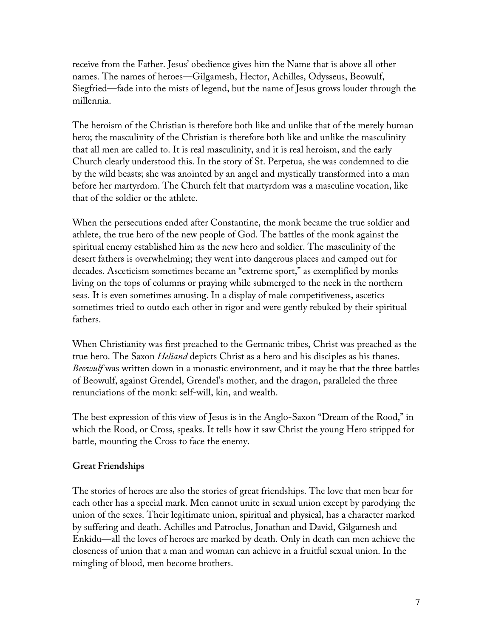receive from the Father. Jesus' obedience gives him the Name that is above all other names. The names of heroes—Gilgamesh, Hector, Achilles, Odysseus, Beowulf, Siegfried—fade into the mists of legend, but the name of Jesus grows louder through the millennia.

The heroism of the Christian is therefore both like and unlike that of the merely human hero; the masculinity of the Christian is therefore both like and unlike the masculinity that all men are called to. It is real masculinity, and it is real heroism, and the early Church clearly understood this. In the story of St. Perpetua, she was condemned to die by the wild beasts; she was anointed by an angel and mystically transformed into a man before her martyrdom. The Church felt that martyrdom was a masculine vocation, like that of the soldier or the athlete.

When the persecutions ended after Constantine, the monk became the true soldier and athlete, the true hero of the new people of God. The battles of the monk against the spiritual enemy established him as the new hero and soldier. The masculinity of the desert fathers is overwhelming; they went into dangerous places and camped out for decades. Asceticism sometimes became an "extreme sport," as exemplified by monks living on the tops of columns or praying while submerged to the neck in the northern seas. It is even sometimes amusing. In a display of male competitiveness, ascetics sometimes tried to outdo each other in rigor and were gently rebuked by their spiritual fathers.

When Christianity was first preached to the Germanic tribes, Christ was preached as the true hero. The Saxon *Heliand* depicts Christ as a hero and his disciples as his thanes. *Beowulf* was written down in a monastic environment, and it may be that the three battles of Beowulf, against Grendel, Grendel's mother, and the dragon, paralleled the three renunciations of the monk: self-will, kin, and wealth.

The best expression of this view of Jesus is in the Anglo-Saxon "Dream of the Rood," in which the Rood, or Cross, speaks. It tells how it saw Christ the young Hero stripped for battle, mounting the Cross to face the enemy.

## **Great Friendships**

The stories of heroes are also the stories of great friendships. The love that men bear for each other has a special mark. Men cannot unite in sexual union except by parodying the union of the sexes. Their legitimate union, spiritual and physical, has a character marked by suffering and death. Achilles and Patroclus, Jonathan and David, Gilgamesh and Enkidu—all the loves of heroes are marked by death. Only in death can men achieve the closeness of union that a man and woman can achieve in a fruitful sexual union. In the mingling of blood, men become brothers.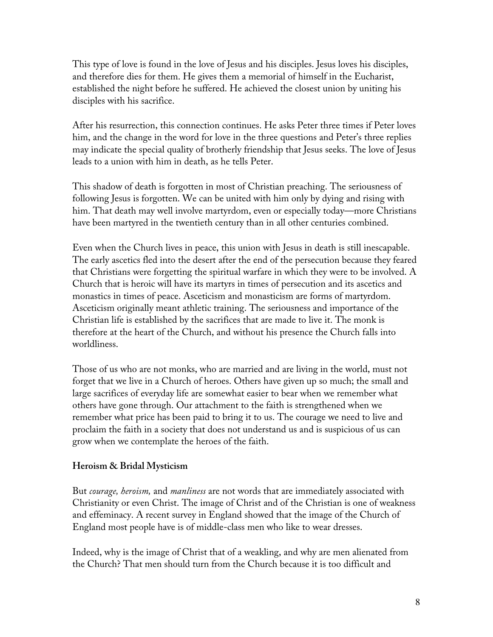This type of love is found in the love of Jesus and his disciples. Jesus loves his disciples, and therefore dies for them. He gives them a memorial of himself in the Eucharist, established the night before he suffered. He achieved the closest union by uniting his disciples with his sacrifice.

After his resurrection, this connection continues. He asks Peter three times if Peter loves him, and the change in the word for love in the three questions and Peter's three replies may indicate the special quality of brotherly friendship that Jesus seeks. The love of Jesus leads to a union with him in death, as he tells Peter.

This shadow of death is forgotten in most of Christian preaching. The seriousness of following Jesus is forgotten. We can be united with him only by dying and rising with him. That death may well involve martyrdom, even or especially today—more Christians have been martyred in the twentieth century than in all other centuries combined.

Even when the Church lives in peace, this union with Jesus in death is still inescapable. The early ascetics fled into the desert after the end of the persecution because they feared that Christians were forgetting the spiritual warfare in which they were to be involved. A Church that is heroic will have its martyrs in times of persecution and its ascetics and monastics in times of peace. Asceticism and monasticism are forms of martyrdom. Asceticism originally meant athletic training. The seriousness and importance of the Christian life is established by the sacrifices that are made to live it. The monk is therefore at the heart of the Church, and without his presence the Church falls into worldliness.

Those of us who are not monks, who are married and are living in the world, must not forget that we live in a Church of heroes. Others have given up so much; the small and large sacrifices of everyday life are somewhat easier to bear when we remember what others have gone through. Our attachment to the faith is strengthened when we remember what price has been paid to bring it to us. The courage we need to live and proclaim the faith in a society that does not understand us and is suspicious of us can grow when we contemplate the heroes of the faith.

#### **Heroism & Bridal Mysticism**

But *courage, heroism,* and *manliness* are not words that are immediately associated with Christianity or even Christ. The image of Christ and of the Christian is one of weakness and effeminacy. A recent survey in England showed that the image of the Church of England most people have is of middle-class men who like to wear dresses.

Indeed, why is the image of Christ that of a weakling, and why are men alienated from the Church? That men should turn from the Church because it is too difficult and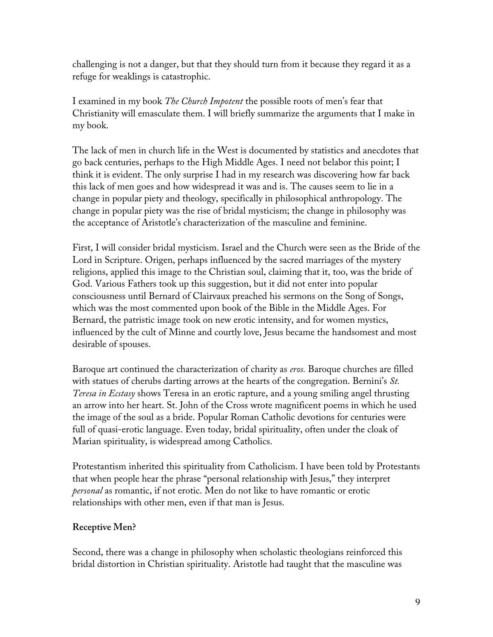challenging is not a danger, but that they should turn from it because they regard it as a refuge for weaklings is catastrophic.

I examined in my book *The Church Impotent* the possible roots of men's fear that Christianity will emasculate them. I will briefly summarize the arguments that I make in my book.

The lack of men in church life in the West is documented by statistics and anecdotes that go back centuries, perhaps to the High Middle Ages. I need not belabor this point; I think it is evident. The only surprise I had in my research was discovering how far back this lack of men goes and how widespread it was and is. The causes seem to lie in a change in popular piety and theology, specifically in philosophical anthropology. The change in popular piety was the rise of bridal mysticism; the change in philosophy was the acceptance of Aristotle's characterization of the masculine and feminine.

First, I will consider bridal mysticism. Israel and the Church were seen as the Bride of the Lord in Scripture. Origen, perhaps influenced by the sacred marriages of the mystery religions, applied this image to the Christian soul, claiming that it, too, was the bride of God. Various Fathers took up this suggestion, but it did not enter into popular consciousness until Bernard of Clairvaux preached his sermons on the Song of Songs, which was the most commented upon book of the Bible in the Middle Ages. For Bernard, the patristic image took on new erotic intensity, and for women mystics, influenced by the cult of Minne and courtly love, Jesus became the handsomest and most desirable of spouses.

Baroque art continued the characterization of charity as *eros.* Baroque churches are filled with statues of cherubs darting arrows at the hearts of the congregation. Bernini's *St. Teresa in Ecstasy* shows Teresa in an erotic rapture, and a young smiling angel thrusting an arrow into her heart. St. John of the Cross wrote magnificent poems in which he used the image of the soul as a bride. Popular Roman Catholic devotions for centuries were full of quasi-erotic language. Even today, bridal spirituality, often under the cloak of Marian spirituality, is widespread among Catholics.

Protestantism inherited this spirituality from Catholicism. I have been told by Protestants that when people hear the phrase "personal relationship with Jesus," they interpret *personal* as romantic, if not erotic. Men do not like to have romantic or erotic relationships with other men, even if that man is Jesus.

## **Receptive Men?**

Second, there was a change in philosophy when scholastic theologians reinforced this bridal distortion in Christian spirituality. Aristotle had taught that the masculine was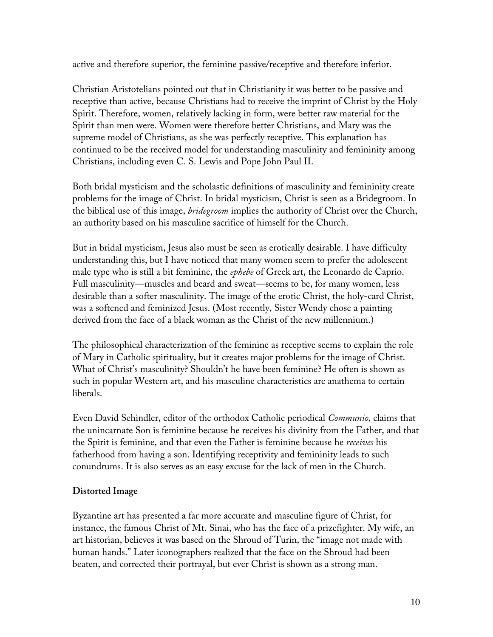active and therefore superior, the feminine passive/receptive and therefore inferior.

Christian Aristotelians pointed out that in Christianity it was better to be passive and receptive than active, because Christians had to receive the imprint of Christ by the Holy Spirit. Therefore, women, relatively lacking in form, were better raw material for the Spirit than men were. Women were therefore better Christians, and Mary was the supreme model of Christians, as she was perfectly receptive. This explanation has continued to be the received model for understanding masculinity and femininity among Christians, including even C. S. Lewis and Pope John Paul II.

Both bridal mysticism and the scholastic definitions of masculinity and femininity create problems for the image of Christ. In bridal mysticism, Christ is seen as a Bridegroom. In the biblical use of this image, *bridegroom* implies the authority of Christ over the Church, an authority based on his masculine sacrifice of himself for the Church.

But in bridal mysticism, Jesus also must be seen as erotically desirable. I have difficulty understanding this, but I have noticed that many women seem to prefer the adolescent male type who is still a bit feminine, the *ephebe* of Greek art, the Leonardo de Caprio. Full masculinity—muscles and beard and sweat—seems to be, for many women, less desirable than a softer masculinity. The image of the erotic Christ, the holy-card Christ, was a softened and feminized Jesus. (Most recently, Sister Wendy chose a painting derived from the face of a black woman as the Christ of the new millennium.)

The philosophical characterization of the feminine as receptive seems to explain the role of Mary in Catholic spirituality, but it creates major problems for the image of Christ. What of Christ's masculinity? Shouldn't he have been feminine? He often is shown as such in popular Western art, and his masculine characteristics are anathema to certain liberals.

Even David Schindler, editor of the orthodox Catholic periodical *Communio,* claims that the unincarnate Son is feminine because he receives his divinity from the Father, and that the Spirit is feminine, and that even the Father is feminine because he *receives* his fatherhood from having a son. Identifying receptivity and femininity leads to such conundrums. It is also serves as an easy excuse for the lack of men in the Church.

## **Distorted Image**

Byzantine art has presented a far more accurate and masculine figure of Christ, for instance, the famous Christ of Mt. Sinai, who has the face of a prizefighter. My wife, an art historian, believes it was based on the Shroud of Turin, the "image not made with human hands." Later iconographers realized that the face on the Shroud had been beaten, and corrected their portrayal, but ever Christ is shown as a strong man.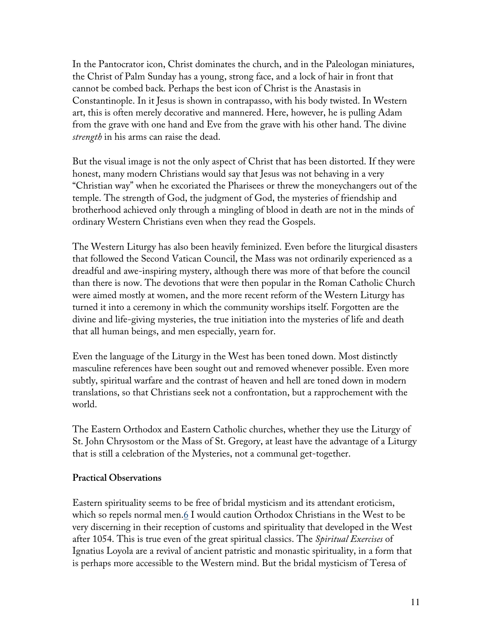In the Pantocrator icon, Christ dominates the church, and in the Paleologan miniatures, the Christ of Palm Sunday has a young, strong face, and a lock of hair in front that cannot be combed back. Perhaps the best icon of Christ is the Anastasis in Constantinople. In it Jesus is shown in contrapasso, with his body twisted. In Western art, this is often merely decorative and mannered. Here, however, he is pulling Adam from the grave with one hand and Eve from the grave with his other hand. The divine *strength* in his arms can raise the dead.

But the visual image is not the only aspect of Christ that has been distorted. If they were honest, many modern Christians would say that Jesus was not behaving in a very "Christian way" when he excoriated the Pharisees or threw the moneychangers out of the temple. The strength of God, the judgment of God, the mysteries of friendship and brotherhood achieved only through a mingling of blood in death are not in the minds of ordinary Western Christians even when they read the Gospels.

The Western Liturgy has also been heavily feminized. Even before the liturgical disasters that followed the Second Vatican Council, the Mass was not ordinarily experienced as a dreadful and awe-inspiring mystery, although there was more of that before the council than there is now. The devotions that were then popular in the Roman Catholic Church were aimed mostly at women, and the more recent reform of the Western Liturgy has turned it into a ceremony in which the community worships itself. Forgotten are the divine and life-giving mysteries, the true initiation into the mysteries of life and death that all human beings, and men especially, yearn for.

Even the language of the Liturgy in the West has been toned down. Most distinctly masculine references have been sought out and removed whenever possible. Even more subtly, spiritual warfare and the contrast of heaven and hell are toned down in modern translations, so that Christians seek not a confrontation, but a rapprochement with the world.

The Eastern Orthodox and Eastern Catholic churches, whether they use the Liturgy of St. John Chrysostom or the Mass of St. Gregory, at least have the advantage of a Liturgy that is still a celebration of the Mysteries, not a communal get-together.

#### **Practical Observations**

Eastern spirituality seems to be free of bridal mysticism and its attendant eroticism, which so repels normal men. $6$  I would caution Orthodox Christians in the West to be very discerning in their reception of customs and spirituality that developed in the West after 1054. This is true even of the great spiritual classics. The *Spiritual Exercises* of Ignatius Loyola are a revival of ancient patristic and monastic spirituality, in a form that is perhaps more accessible to the Western mind. But the bridal mysticism of Teresa of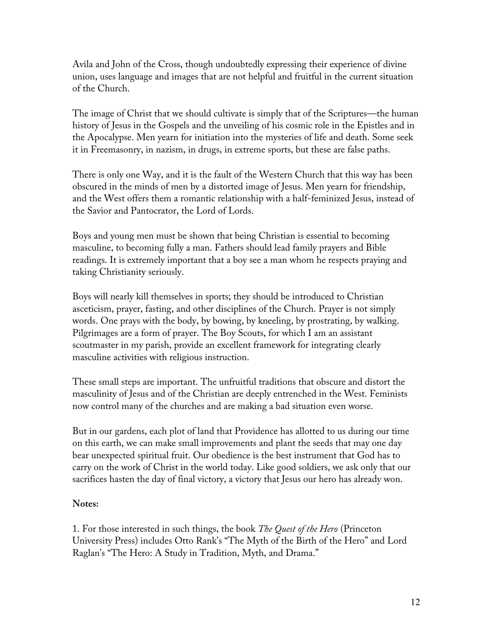Avila and John of the Cross, though undoubtedly expressing their experience of divine union, uses language and images that are not helpful and fruitful in the current situation of the Church.

The image of Christ that we should cultivate is simply that of the Scriptures—the human history of Jesus in the Gospels and the unveiling of his cosmic role in the Epistles and in the Apocalypse. Men yearn for initiation into the mysteries of life and death. Some seek it in Freemasonry, in nazism, in drugs, in extreme sports, but these are false paths.

There is only one Way, and it is the fault of the Western Church that this way has been obscured in the minds of men by a distorted image of Jesus. Men yearn for friendship, and the West offers them a romantic relationship with a half-feminized Jesus, instead of the Savior and Pantocrator, the Lord of Lords.

Boys and young men must be shown that being Christian is essential to becoming masculine, to becoming fully a man. Fathers should lead family prayers and Bible readings. It is extremely important that a boy see a man whom he respects praying and taking Christianity seriously.

Boys will nearly kill themselves in sports; they should be introduced to Christian asceticism, prayer, fasting, and other disciplines of the Church. Prayer is not simply words. One prays with the body, by bowing, by kneeling, by prostrating, by walking. Pilgrimages are a form of prayer. The Boy Scouts, for which I am an assistant scoutmaster in my parish, provide an excellent framework for integrating clearly masculine activities with religious instruction.

These small steps are important. The unfruitful traditions that obscure and distort the masculinity of Jesus and of the Christian are deeply entrenched in the West. Feminists now control many of the churches and are making a bad situation even worse.

But in our gardens, each plot of land that Providence has allotted to us during our time on this earth, we can make small improvements and plant the seeds that may one day bear unexpected spiritual fruit. Our obedience is the best instrument that God has to carry on the work of Christ in the world today. Like good soldiers, we ask only that our sacrifices hasten the day of final victory, a victory that Jesus our hero has already won.

## **Notes:**

1. For those interested in such things, the book *The Quest of the Hero* (Princeton University Press) includes Otto Rank's "The Myth of the Birth of the Hero" and Lord Raglan's "The Hero: A Study in Tradition, Myth, and Drama."